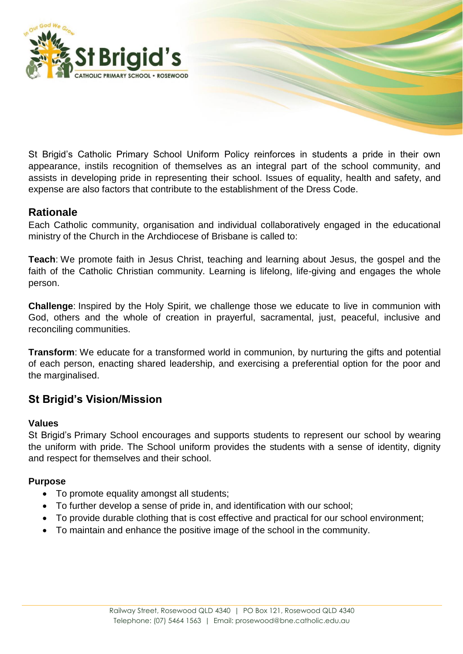

St Brigid's Catholic Primary School Uniform Policy reinforces in students a pride in their own appearance, instils recognition of themselves as an integral part of the school community, and assists in developing pride in representing their school. Issues of equality, health and safety, and expense are also factors that contribute to the establishment of the Dress Code.

## **Rationale**

Each Catholic community, organisation and individual collaboratively engaged in the educational ministry of the Church in the Archdiocese of Brisbane is called to:

**Teach**: We promote faith in Jesus Christ, teaching and learning about Jesus, the gospel and the faith of the Catholic Christian community. Learning is lifelong, life-giving and engages the whole person.

**Challenge**: Inspired by the Holy Spirit, we challenge those we educate to live in communion with God, others and the whole of creation in prayerful, sacramental, just, peaceful, inclusive and reconciling communities.

**Transform**: We educate for a transformed world in communion, by nurturing the gifts and potential of each person, enacting shared leadership, and exercising a preferential option for the poor and the marginalised.

## **St Brigid's Vision/Mission**

#### **Values**

St Brigid's Primary School encourages and supports students to represent our school by wearing the uniform with pride. The School uniform provides the students with a sense of identity, dignity and respect for themselves and their school.

#### **Purpose**

- To promote equality amongst all students;
- To further develop a sense of pride in, and identification with our school;
- To provide durable clothing that is cost effective and practical for our school environment;
- To maintain and enhance the positive image of the school in the community.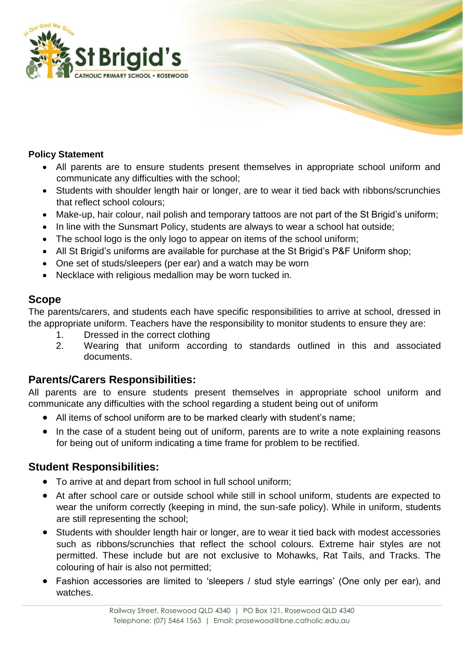

### **Policy Statement**

- All parents are to ensure students present themselves in appropriate school uniform and communicate any difficulties with the school;
- Students with shoulder length hair or longer, are to wear it tied back with ribbons/scrunchies that reflect school colours;
- Make-up, hair colour, nail polish and temporary tattoos are not part of the St Brigid's uniform;
- In line with the Sunsmart Policy, students are always to wear a school hat outside;
- The school logo is the only logo to appear on items of the school uniform;
- All St Brigid's uniforms are available for purchase at the St Brigid's P&F Uniform shop;
- One set of studs/sleepers (per ear) and a watch may be worn
- Necklace with religious medallion may be worn tucked in.

## **Scope**

The parents/carers, and students each have specific responsibilities to arrive at school, dressed in the appropriate uniform. Teachers have the responsibility to monitor students to ensure they are:

- 1. Dressed in the correct clothing
- 2. Wearing that uniform according to standards outlined in this and associated documents.

## **Parents/Carers Responsibilities:**

All parents are to ensure students present themselves in appropriate school uniform and communicate any difficulties with the school regarding a student being out of uniform

- All items of school uniform are to be marked clearly with student's name;
- In the case of a student being out of uniform, parents are to write a note explaining reasons for being out of uniform indicating a time frame for problem to be rectified.

## **Student Responsibilities:**

- To arrive at and depart from school in full school uniform;
- At after school care or outside school while still in school uniform, students are expected to wear the uniform correctly (keeping in mind, the sun-safe policy). While in uniform, students are still representing the school;
- Students with shoulder length hair or longer, are to wear it tied back with modest accessories such as ribbons/scrunchies that reflect the school colours. Extreme hair styles are not permitted. These include but are not exclusive to Mohawks, Rat Tails, and Tracks. The colouring of hair is also not permitted;
- Fashion accessories are limited to 'sleepers / stud style earrings' (One only per ear), and watches.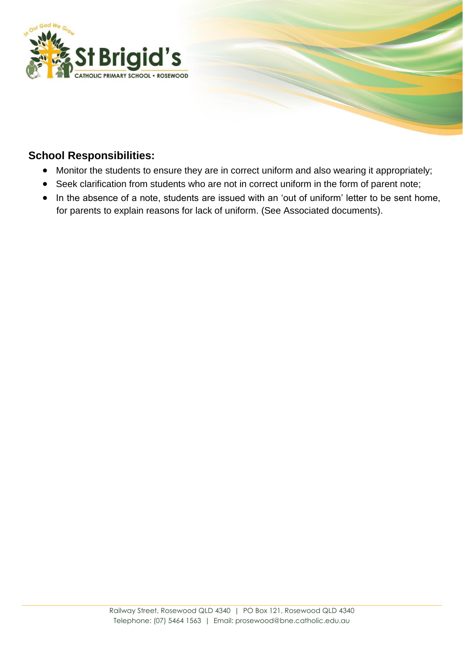

# **School Responsibilities:**

- Monitor the students to ensure they are in correct uniform and also wearing it appropriately;
- Seek clarification from students who are not in correct uniform in the form of parent note;
- In the absence of a note, students are issued with an 'out of uniform' letter to be sent home, for parents to explain reasons for lack of uniform. (See Associated documents).